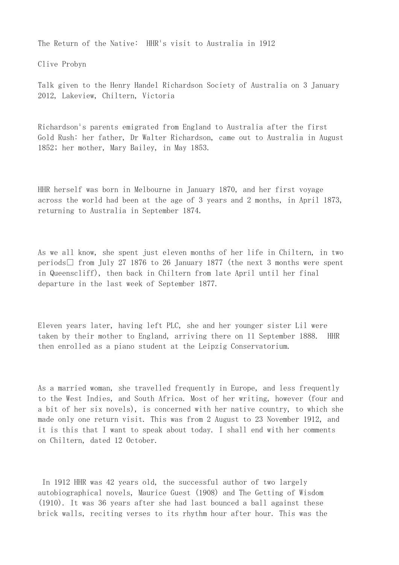The Return of the Native:  $HHR<sup>1</sup>$ s visit to Australia in 1912

Clive Probyn

Talk given to the Henry Handel Richardson Society of Australia on 3 January 2012, Lakeview, Chiltern, Victoria

Richardson's parents emigrated from England to Australia after the first Gold Rush: her father, Dr Walter Richardson, came out to Australia in August 1852; her mother, Mary Bailey, in May 1853.

HHR herself was born in Melbourne in January 1870, and her first voyage across the world had been at the age of 3 years and 2 months, in April 1873, returning to Australia in September 1874.

As we all know, she spent just eleven months of her life in Chiltern, in two periods  $\Box$  from July 27 1876 to 26 January 1877 (the next 3 months were spent in Queenscliff), then back in Chiltern from late April until her final departure in the last week of September 1877.

Eleven years later, having left PLC, she and her younger sister Lil were taken by their mother to England, arriving there on 11 September 1888. HHR then enrolled as a piano student at the Leipzig Conservatorium.

As a married woman, she travelled frequently in Europe, and less frequently to the West Indies, and South Africa. Most of her writing, however (four and a bit of her six novels), is concerned with her native country, to which she made only one return visit. This was from 2 August to 23 November 1912, and it is this that I want to speak about today. I shall end with her comments on Chiltern, dated 12 October.

In 1912 HHR was 42 years old, the successful author of two largely autobiographical novels, Maurice Guest (1908) and The Getting of Wisdom (1910). It was 36 years after she had last bounced a ball against these brick walls, reciting verses to its rhythm hour after hour. This was the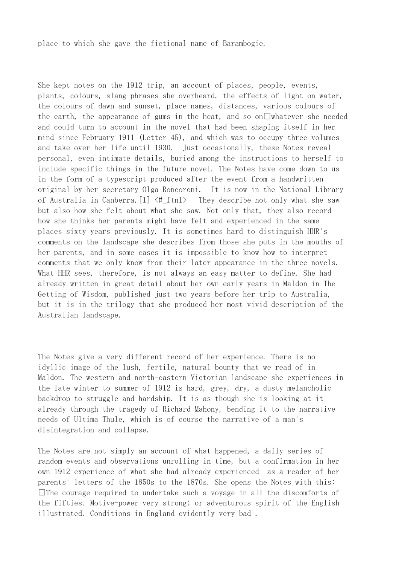place to which she gave the fictional name of Barambogie.

She kept notes on the 1912 trip, an account of places, people, events, plants, colours, slang phrases she overheard, the effects of light on water, the colours of dawn and sunset, place names, distances, various colours of the earth, the appearance of gums in the heat, and so on  $\Box$  whatever she needed and could turn to account in the novel that had been shaping itself in her mind since February 1911 (Letter 45), and which was to occupy three volumes and take over her life until 1930. Just occasionally, these Notes reveal personal, even intimate details, buried among the instructions to herself to include specific things in the future novel. The Notes have come down to us in the form of a typescript produced after the event from a handwritten original by her secretary Olga Roncoroni. It is now in the National Library of Australia in Canberra.[1] <#\_ftn1> They describe not only what she saw but also how she felt about what she saw. Not only that, they also record how she thinks her parents might have felt and experienced in the same places sixty years previously. It is sometimes hard to distinguish  $HHR<sup>1</sup>s$ comments on the landscape she describes from those she puts in the mouths of her parents, and in some cases it is impossible to know how to interpret comments that we only know from their later appearance in the three novels. What HHR sees, therefore, is not always an easy matter to define. She had already written in great detail about her own early years in Maldon in The Getting of Wisdom, published just two years before her trip to Australia, but it is in the trilogy that she produced her most vivid description of the Australian landscape.

The Notes give a very different record of her experience. There is no idyllic image of the lush, fertile, natural bounty that we read of in Maldon. The western and north-eastern Victorian landscape she experiences in the late winter to summer of 1912 is hard, grey, dry, a dusty melancholic backdrop to struggle and hardship. It is as though she is looking at it already through the tragedy of Richard Mahony, bending it to the narrative needs of Ultima Thule, which is of course the narrative of a man's disintegration and collapse.

The Notes are not simply an account of what happened, a daily series of random events and observations unrolling in time, but a confirmation in her own 1912 experience of what she had already experienced as a reader of her parents<sup>1</sup> letters of the 1850s to the 1870s. She opens the Notes with this:  $\Box$  The courage required to undertake such a voyage in all the discomforts of the fifties. Motive-power very strong; or adventurous spirit of the English illustrated. Conditions in England evidently very bad<sup>1</sup>.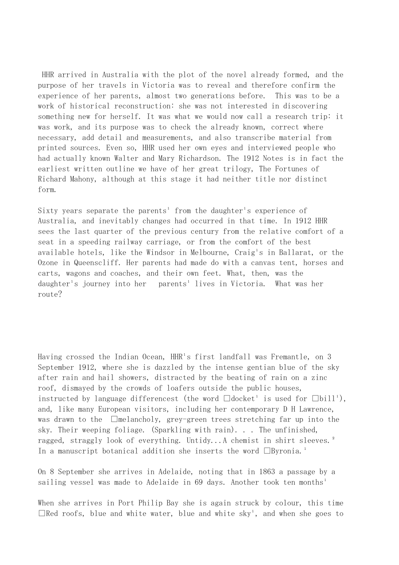HHR arrived in Australia with the plot of the novel already formed, and the purpose of her travels in Victoria was to reveal and therefore confirm the experience of her parents, almost two generations before. This was to be a work of historical reconstruction: she was not interested in discovering something new for herself. It was what we would now call a research trip: it was work, and its purpose was to check the already known, correct where necessary, add detail and measurements, and also transcribe material from printed sources. Even so, HHR used her own eyes and interviewed people who had actually known Walter and Mary Richardson. The 1912 Notes is in fact the earliest written outline we have of her great trilogy, The Fortunes of Richard Mahony, although at this stage it had neither title nor distinct form.

Sixty years separate the parents<sup>1</sup> from the daughter<sup>1</sup>s experience of Australia, and inevitably changes had occurred in that time. In 1912 HHR sees the last quarter of the previous century from the relative comfort of a seat in a speeding railway carriage, or from the comfort of the best available hotels, like the Windsor in Melbourne, Craig's in Ballarat, or the Ozone in Queenscliff. Her parents had made do with a canvas tent, horses and carts, wagons and coaches, and their own feet. What, then, was the daughter's journey into her parents<sup>1</sup> lives in Victoria. What was her route?

Having crossed the Indian Ocean, HHR<sup>1</sup>s first landfall was Fremantle, on 3 September 1912, where she is dazzled by the intense gentian blue of the sky after rain and hail showers, distracted by the beating of rain on a zinc roof, dismayed by the crowds of loafers outside the public houses, instructed by language differencest (the word  $\Box$ docket<sup>1</sup> is used for  $\Box$ bill<sup>1</sup>), and, like many European visitors, including her contemporary D H Lawrence, was drawn to the  $\Box$ melancholy, grey-green trees stretching far up into the sky. Their weeping foliage. (Sparkling with rain). . . The unfinished, ragged, straggly look of everything. Untidy...A chemist in shirt sleeves.<sup>2</sup> In a manuscript botanical addition she inserts the word  $\Box$ Byronia.<sup>1</sup>

On 8 September she arrives in Adelaide, noting that in 1863 a passage by a sailing vessel was made to Adelaide in 69 days. Another took ten months<sup>1</sup>

When she arrives in Port Philip Bay she is again struck by colour, this time  $\Box$ Red roofs, blue and white water, blue and white sky', and when she goes to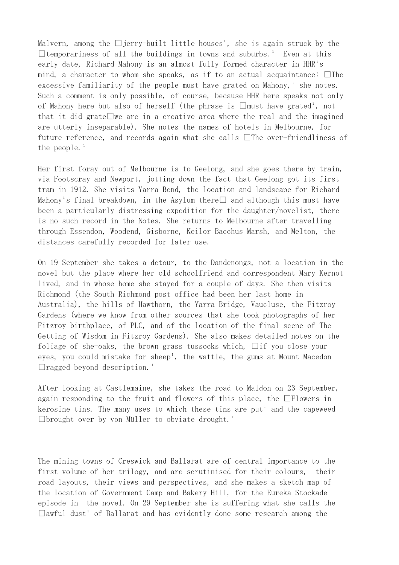Malvern, among the  $\Box$ jerry-built little houses<sup>1</sup>, she is again struck by the  $\Box$  temporariness of all the buildings in towns and suburbs.<sup>1</sup> Even at this early date, Richard Mahony is an almost fully formed character in HHR<sup>1</sup>s mind, a character to whom she speaks, as if to an actual acquaintance:  $\Box$  The excessive familiarity of the people must have grated on Mahony,<sup> $1$ </sup> she notes. Such a comment is only possible, of course, because HHR here speaks not only of Mahony here but also of herself (the phrase is  $\Box$ must have grated<sup>1</sup>, not that it did grate we are in a creative area where the real and the imagined are utterly inseparable). She notes the names of hotels in Melbourne, for future reference, and records again what she calls  $\Box$  The over-friendliness of the people. $<sup>1</sup>$ </sup>

Her first foray out of Melbourne is to Geelong, and she goes there by train, via Footscray and Newport, jotting down the fact that Geelong got its first tram in 1912. She visits Yarra Bend, the location and landscape for Richard Mahony's final breakdown, in the Asylum there and although this must have been a particularly distressing expedition for the daughter/novelist, there is no such record in the Notes. She returns to Melbourne after travelling through Essendon, Woodend, Gisborne, Keilor Bacchus Marsh, and Melton, the distances carefully recorded for later use.

On 19 September she takes a detour, to the Dandenongs, not a location in the novel but the place where her old schoolfriend and correspondent Mary Kernot lived, and in whose home she stayed for a couple of days. She then visits Richmond (the South Richmond post office had been her last home in Australia), the hills of Hawthorn, the Yarra Bridge, Vaucluse, the Fitzroy Gardens (where we know from other sources that she took photographs of her Fitzroy birthplace, of PLC, and of the location of the final scene of The Getting of Wisdom in Fitzroy Gardens). She also makes detailed notes on the foliage of she-oaks, the brown grass tussocks which,  $\Box$ if you close your eyes, you could mistake for sheep<sup>1</sup>, the wattle, the gums at Mount Macedon  $\Box$ ragged beyond description.<sup>1</sup>

After looking at Castlemaine, she takes the road to Maldon on 23 September, again responding to the fruit and flowers of this place, the  $\Box$ Flowers in kerosine tins. The many uses to which these tins are put<sup>1</sup> and the capeweed  $\Box$ brought over by von Müller to obviate drought.<sup>1</sup>

The mining towns of Creswick and Ballarat are of central importance to the first volume of her trilogy, and are scrutinised for their colours, their road layouts, their views and perspectives, and she makes a sketch map of the location of Government Camp and Bakery Hill, for the Eureka Stockade episode in the novel. On 29 September she is suffering what she calls the  $\Box$ awful dust<sup>1</sup> of Ballarat and has evidently done some research among the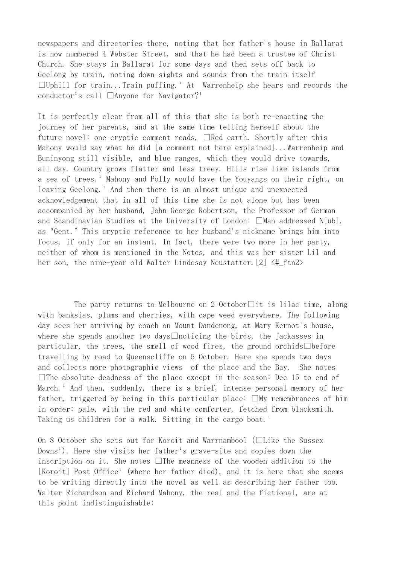newspapers and directories there, noting that her father's house in Ballarat is now numbered 4 Webster Street, and that he had been a trustee of Christ Church. She stays in Ballarat for some days and then sets off back to Geelong by train, noting down sights and sounds from the train itself  $\Box$ Uphill for train...Train puffing.<sup>1</sup> At Warrenheip she hears and records the conductor's call  $\Box$ Anyone for Navigator?<sup>1</sup>

It is perfectly clear from all of this that she is both re-enacting the journey of her parents, and at the same time telling herself about the future novel: one cryptic comment reads,  $\Box$ Red earth. Shortly after this Mahony would say what he did [a comment not here explained]...Warrenheip and Buninyong still visible, and blue ranges, which they would drive towards, all day. Country grows flatter and less treey. Hills rise like islands from a sea of trees.<sup>1</sup> Mahony and Polly would have the Youyangs on their right, on leaving Geelong.<sup>1</sup> And then there is an almost unique and unexpected acknowledgement that in all of this time she is not alone but has been accompanied by her husband, John George Robertson, the Professor of German and Scandinavian Studies at the University of London:  $\Box$ Man addressed N[ub]. as <sup>3</sup>Gent.<sup>2</sup> This cryptic reference to her husband<sup>1</sup>s nickname brings him into focus, if only for an instant. In fact, there were two more in her party, neither of whom is mentioned in the Notes, and this was her sister Lil and her son, the nine-year old Walter Lindesay Neustatter.  $[2] \leq \# \text{fn2}$ 

The party returns to Melbourne on 2 October $\Box$ it is lilac time, along with banksias, plums and cherries, with cape weed everywhere. The following day sees her arriving by coach on Mount Dandenong, at Mary Kernot's house, where she spends another two days $\Box$ noticing the birds, the jackasses in particular, the trees, the smell of wood fires, the ground orchids  $\Box$  before travelling by road to Queenscliffe on 5 October. Here she spends two days and collects more photographic views of the place and the Bay. She notes  $\square$  The absolute deadness of the place except in the season: Dec 15 to end of March.<sup>1</sup> And then, suddenly, there is a brief, intense personal memory of her father, triggered by being in this particular place:  $\square$ My remembrances of him in order: pale, with the red and white comforter, fetched from blacksmith. Taking us children for a walk. Sitting in the cargo boat.<sup>1</sup>

On 8 October she sets out for Koroit and Warrnambool ( $\Box$ Like the Sussex Downs<sup>1</sup>). Here she visits her father<sup>1</sup>s grave-site and copies down the inscription on it. She notes  $\Box$  The meanness of the wooden addition to the [Koroit] Post Office<sup>1</sup> (where her father died), and it is here that she seems to be writing directly into the novel as well as describing her father too. Walter Richardson and Richard Mahony, the real and the fictional, are at this point indistinguishable: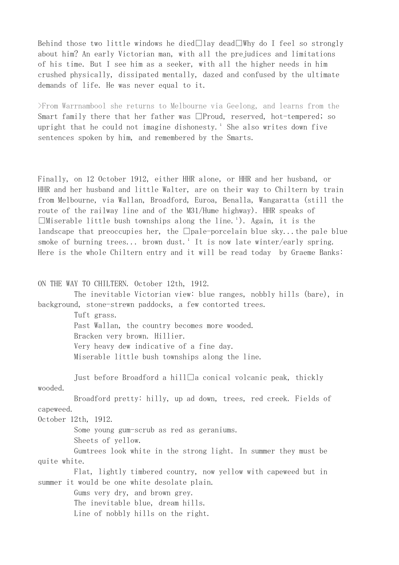Behind those two little windows he died $\Box$ lay dead $\Box$ Why do I feel so strongly about him? An early Victorian man, with all the prejudices and limitations of his time. But I see him as a seeker, with all the higher needs in him crushed physically, dissipated mentally, dazed and confused by the ultimate demands of life. He was never equal to it.

>From Warrnambool she returns to Melbourne via Geelong, and learns from the Smart family there that her father was  $\Box$ Proud, reserved, hot-tempered; so upright that he could not imagine dishonesty.<sup>1</sup> She also writes down five sentences spoken by him, and remembered by the Smarts.

Finally, on 12 October 1912, either HHR alone, or HHR and her husband, or HHR and her husband and little Walter, are on their way to Chiltern by train from Melbourne, via Wallan, Broadford, Euroa, Benalla, Wangaratta (still the route of the railway line and of the M31/Hume highway). HHR speaks of  $\Box$ Miserable little bush townships along the line.<sup>1</sup>). Again, it is the landscape that preoccupies her, the  $\Box$ pale-porcelain blue sky...the pale blue smoke of burning trees... brown dust.<sup>1</sup> It is now late winter/early spring. Here is the whole Chiltern entry and it will be read today by Graeme Banks:

ON THE WAY TO CHILTERN. October 12th, 1912.

 The inevitable Victorian view: blue ranges, nobbly hills (bare), in background, stone-strewn paddocks, a few contorted trees.

Tuft grass.

 Past Wallan, the country becomes more wooded. Bracken very brown. Hillier. Very heavy dew indicative of a fine day. Miserable little bush townships along the line.

Just before Broadford a hill $\Box$ a conical volcanic peak, thickly wooded.

 Broadford pretty: hilly, up ad down, trees, red creek. Fields of capeweed.

October 12th, 1912.

Some young gum-scrub as red as geraniums.

Sheets of yellow.

 Gumtrees look white in the strong light. In summer they must be quite white.

 Flat, lightly timbered country, now yellow with capeweed but in summer it would be one white desolate plain.

Gums very dry, and brown grey.

The inevitable blue, dream hills.

Line of nobbly hills on the right.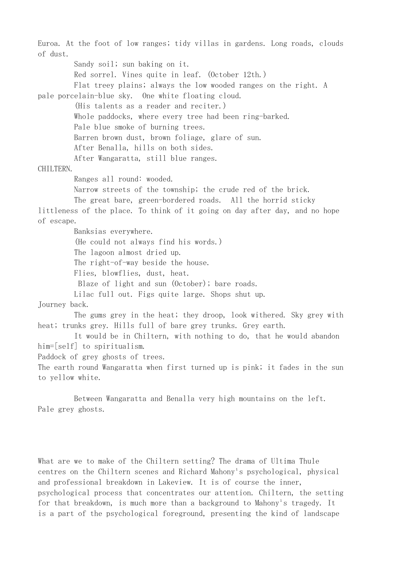Euroa. At the foot of low ranges; tidy villas in gardens. Long roads, clouds of dust. Sandy soil; sun baking on it. Red sorrel. Vines quite in leaf. (October 12th.) Flat treey plains; always the low wooded ranges on the right. A pale porcelain-blue sky. One white floating cloud. (His talents as a reader and reciter.) Whole paddocks, where every tree had been ring-barked. Pale blue smoke of burning trees. Barren brown dust, brown foliage, glare of sun. After Benalla, hills on both sides. After Wangaratta, still blue ranges. CHILTERN. Ranges all round: wooded. Narrow streets of the township; the crude red of the brick. The great bare, green-bordered roads. All the horrid sticky littleness of the place. To think of it going on day after day, and no hope of escape. Banksias everywhere. (He could not always find his words.) The lagoon almost dried up. The right-of-way beside the house. Flies, blowflies, dust, heat. Blaze of light and sun (October); bare roads. Lilac full out. Figs quite large. Shops shut up. Journey back. The gums grey in the heat; they droop, look withered. Sky grey with heat; trunks grey. Hills full of bare grey trunks. Grey earth. It would be in Chiltern, with nothing to do, that he would abandon him=[self] to spiritualism. Paddock of grey ghosts of trees. The earth round Wangaratta when first turned up is pink; it fades in the sun to yellow white.

 Between Wangaratta and Benalla very high mountains on the left. Pale grey ghosts.

What are we to make of the Chiltern setting? The drama of Ultima Thule centres on the Chiltern scenes and Richard Mahony's psychological, physical and professional breakdown in Lakeview. It is of course the inner, psychological process that concentrates our attention. Chiltern, the setting for that breakdown, is much more than a background to Mahony's tragedy. It is a part of the psychological foreground, presenting the kind of landscape